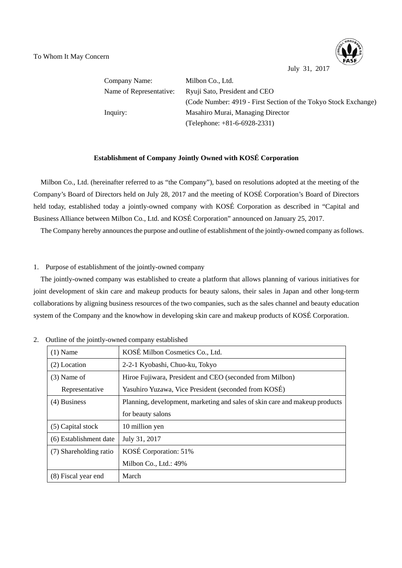

July 31, 2017

Company Name: Milbon Co., Ltd. Name of Representative: Ryuji Sato, President and CEO (Code Number: 4919 - First Section of the Tokyo Stock Exchange) Inquiry: Masahiro Murai, Managing Director (Telephone: +81-6-6928-2331)

## **Establishment of Company Jointly Owned with KOSÉ Corporation**

Milbon Co., Ltd. (hereinafter referred to as "the Company"), based on resolutions adopted at the meeting of the Company's Board of Directors held on July 28, 2017 and the meeting of KOSÉ Corporation's Board of Directors held today, established today a jointly-owned company with KOSÉ Corporation as described in "Capital and Business Alliance between Milbon Co., Ltd. and KOSÉ Corporation" announced on January 25, 2017.

The Company hereby announces the purpose and outline of establishment of the jointly-owned company as follows.

## 1. Purpose of establishment of the jointly-owned company

The jointly-owned company was established to create a platform that allows planning of various initiatives for joint development of skin care and makeup products for beauty salons, their sales in Japan and other long-term collaborations by aligning business resources of the two companies, such as the sales channel and beauty education system of the Company and the knowhow in developing skin care and makeup products of KOSÉ Corporation.

| $(1)$ Name             | KOSÉ Milbon Cosmetics Co., Ltd.                                             |
|------------------------|-----------------------------------------------------------------------------|
| $(2)$ Location         | 2-2-1 Kyobashi, Chuo-ku, Tokyo                                              |
| $(3)$ Name of          | Hiroe Fujiwara, President and CEO (seconded from Milbon)                    |
| Representative         | Yasuhiro Yuzawa, Vice President (seconded from KOSÉ)                        |
| $(4)$ Business         | Planning, development, marketing and sales of skin care and makeup products |
|                        | for beauty salons                                                           |
| (5) Capital stock      | 10 million yen                                                              |
| (6) Establishment date | July 31, 2017                                                               |
| (7) Shareholding ratio | KOSÉ Corporation: 51%                                                       |
|                        | Milbon Co., Ltd.: 49%                                                       |
| (8) Fiscal year end    | March                                                                       |

2. Outline of the jointly-owned company established